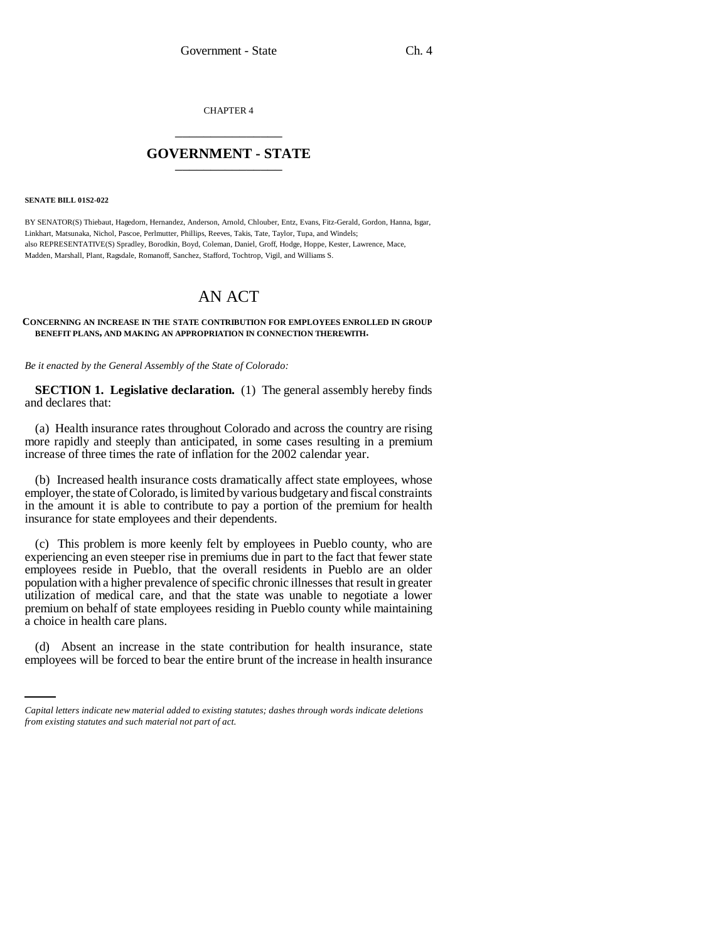CHAPTER 4 \_\_\_\_\_\_\_\_\_\_\_\_\_\_\_

## **GOVERNMENT - STATE** \_\_\_\_\_\_\_\_\_\_\_\_\_\_\_

**SENATE BILL 01S2-022**

BY SENATOR(S) Thiebaut, Hagedorn, Hernandez, Anderson, Arnold, Chlouber, Entz, Evans, Fitz-Gerald, Gordon, Hanna, Isgar, Linkhart, Matsunaka, Nichol, Pascoe, Perlmutter, Phillips, Reeves, Takis, Tate, Taylor, Tupa, and Windels; also REPRESENTATIVE(S) Spradley, Borodkin, Boyd, Coleman, Daniel, Groff, Hodge, Hoppe, Kester, Lawrence, Mace, Madden, Marshall, Plant, Ragsdale, Romanoff, Sanchez, Stafford, Tochtrop, Vigil, and Williams S.

## AN ACT

## **CONCERNING AN INCREASE IN THE STATE CONTRIBUTION FOR EMPLOYEES ENROLLED IN GROUP BENEFIT PLANS, AND MAKING AN APPROPRIATION IN CONNECTION THEREWITH.**

*Be it enacted by the General Assembly of the State of Colorado:*

**SECTION 1. Legislative declaration.** (1) The general assembly hereby finds and declares that:

(a) Health insurance rates throughout Colorado and across the country are rising more rapidly and steeply than anticipated, in some cases resulting in a premium increase of three times the rate of inflation for the 2002 calendar year.

(b) Increased health insurance costs dramatically affect state employees, whose employer, the state of Colorado, is limited by various budgetary and fiscal constraints in the amount it is able to contribute to pay a portion of the premium for health insurance for state employees and their dependents.

(c) This problem is more keenly felt by employees in Pueblo county, who are experiencing an even steeper rise in premiums due in part to the fact that fewer state employees reside in Pueblo, that the overall residents in Pueblo are an older population with a higher prevalence of specific chronic illnesses that result in greater utilization of medical care, and that the state was unable to negotiate a lower premium on behalf of state employees residing in Pueblo county while maintaining a choice in health care plans.

in<br>Salah (d) Absent an increase in the state contribution for health insurance, state employees will be forced to bear the entire brunt of the increase in health insurance

*Capital letters indicate new material added to existing statutes; dashes through words indicate deletions from existing statutes and such material not part of act.*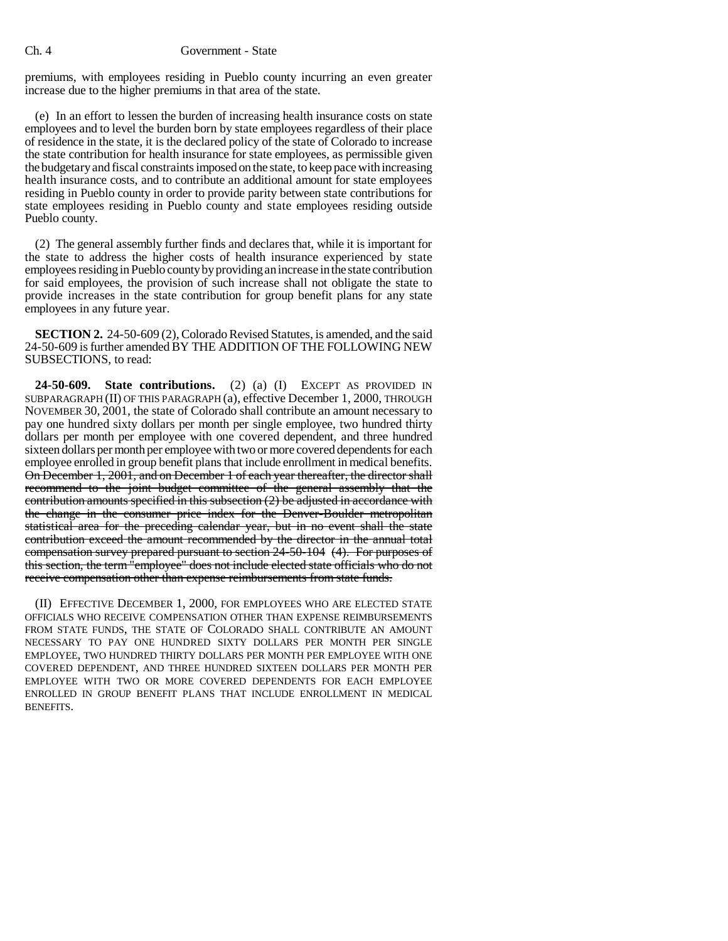premiums, with employees residing in Pueblo county incurring an even greater increase due to the higher premiums in that area of the state.

(e) In an effort to lessen the burden of increasing health insurance costs on state employees and to level the burden born by state employees regardless of their place of residence in the state, it is the declared policy of the state of Colorado to increase the state contribution for health insurance for state employees, as permissible given the budgetary and fiscal constraints imposed on the state, to keep pace with increasing health insurance costs, and to contribute an additional amount for state employees residing in Pueblo county in order to provide parity between state contributions for state employees residing in Pueblo county and state employees residing outside Pueblo county.

(2) The general assembly further finds and declares that, while it is important for the state to address the higher costs of health insurance experienced by state employees residing in Pueblo county by providing an increase in the state contribution for said employees, the provision of such increase shall not obligate the state to provide increases in the state contribution for group benefit plans for any state employees in any future year.

**SECTION 2.** 24-50-609 (2), Colorado Revised Statutes, is amended, and the said 24-50-609 is further amended BY THE ADDITION OF THE FOLLOWING NEW SUBSECTIONS, to read:

**24-50-609. State contributions.** (2) (a) (I) EXCEPT AS PROVIDED IN SUBPARAGRAPH (II) OF THIS PARAGRAPH (a), effective December 1, 2000, THROUGH NOVEMBER 30, 2001, the state of Colorado shall contribute an amount necessary to pay one hundred sixty dollars per month per single employee, two hundred thirty dollars per month per employee with one covered dependent, and three hundred sixteen dollars per month per employee with two or more covered dependents for each employee enrolled in group benefit plans that include enrollment in medical benefits. On December 1, 2001, and on December 1 of each year thereafter, the director shall recommend to the joint budget committee of the general assembly that the contribution amounts specified in this subsection (2) be adjusted in accordance with the change in the consumer price index for the Denver-Boulder metropolitan statistical area for the preceding calendar year, but in no event shall the state contribution exceed the amount recommended by the director in the annual total compensation survey prepared pursuant to section 24-50-104 (4). For purposes of this section, the term "employee" does not include elected state officials who do not receive compensation other than expense reimbursements from state funds.

(II) EFFECTIVE DECEMBER 1, 2000, FOR EMPLOYEES WHO ARE ELECTED STATE OFFICIALS WHO RECEIVE COMPENSATION OTHER THAN EXPENSE REIMBURSEMENTS FROM STATE FUNDS, THE STATE OF COLORADO SHALL CONTRIBUTE AN AMOUNT NECESSARY TO PAY ONE HUNDRED SIXTY DOLLARS PER MONTH PER SINGLE EMPLOYEE, TWO HUNDRED THIRTY DOLLARS PER MONTH PER EMPLOYEE WITH ONE COVERED DEPENDENT, AND THREE HUNDRED SIXTEEN DOLLARS PER MONTH PER EMPLOYEE WITH TWO OR MORE COVERED DEPENDENTS FOR EACH EMPLOYEE ENROLLED IN GROUP BENEFIT PLANS THAT INCLUDE ENROLLMENT IN MEDICAL BENEFITS.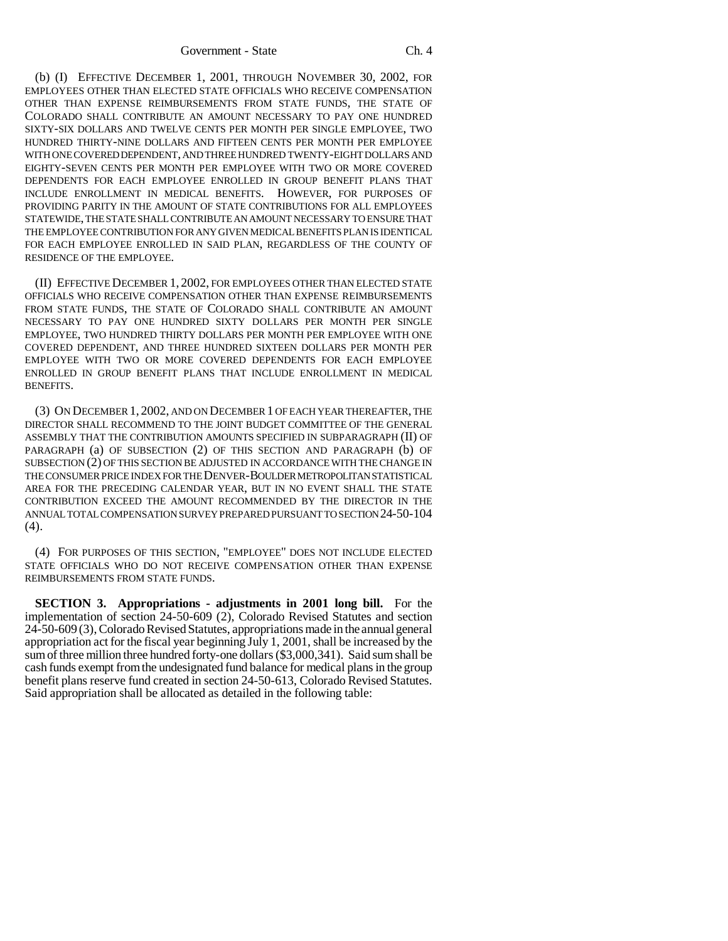(b) (I) EFFECTIVE DECEMBER 1, 2001, THROUGH NOVEMBER 30, 2002, FOR EMPLOYEES OTHER THAN ELECTED STATE OFFICIALS WHO RECEIVE COMPENSATION OTHER THAN EXPENSE REIMBURSEMENTS FROM STATE FUNDS, THE STATE OF COLORADO SHALL CONTRIBUTE AN AMOUNT NECESSARY TO PAY ONE HUNDRED SIXTY-SIX DOLLARS AND TWELVE CENTS PER MONTH PER SINGLE EMPLOYEE, TWO HUNDRED THIRTY-NINE DOLLARS AND FIFTEEN CENTS PER MONTH PER EMPLOYEE WITH ONE COVERED DEPENDENT, AND THREE HUNDRED TWENTY-EIGHT DOLLARS AND EIGHTY-SEVEN CENTS PER MONTH PER EMPLOYEE WITH TWO OR MORE COVERED DEPENDENTS FOR EACH EMPLOYEE ENROLLED IN GROUP BENEFIT PLANS THAT INCLUDE ENROLLMENT IN MEDICAL BENEFITS. HOWEVER, FOR PURPOSES OF PROVIDING PARITY IN THE AMOUNT OF STATE CONTRIBUTIONS FOR ALL EMPLOYEES STATEWIDE, THE STATE SHALL CONTRIBUTE AN AMOUNT NECESSARY TO ENSURE THAT THE EMPLOYEE CONTRIBUTION FOR ANY GIVEN MEDICAL BENEFITS PLAN IS IDENTICAL FOR EACH EMPLOYEE ENROLLED IN SAID PLAN, REGARDLESS OF THE COUNTY OF RESIDENCE OF THE EMPLOYEE.

(II) EFFECTIVE DECEMBER 1, 2002, FOR EMPLOYEES OTHER THAN ELECTED STATE OFFICIALS WHO RECEIVE COMPENSATION OTHER THAN EXPENSE REIMBURSEMENTS FROM STATE FUNDS, THE STATE OF COLORADO SHALL CONTRIBUTE AN AMOUNT NECESSARY TO PAY ONE HUNDRED SIXTY DOLLARS PER MONTH PER SINGLE EMPLOYEE, TWO HUNDRED THIRTY DOLLARS PER MONTH PER EMPLOYEE WITH ONE COVERED DEPENDENT, AND THREE HUNDRED SIXTEEN DOLLARS PER MONTH PER EMPLOYEE WITH TWO OR MORE COVERED DEPENDENTS FOR EACH EMPLOYEE ENROLLED IN GROUP BENEFIT PLANS THAT INCLUDE ENROLLMENT IN MEDICAL BENEFITS.

(3) ON DECEMBER 1, 2002, AND ON DECEMBER 1 OF EACH YEAR THEREAFTER, THE DIRECTOR SHALL RECOMMEND TO THE JOINT BUDGET COMMITTEE OF THE GENERAL ASSEMBLY THAT THE CONTRIBUTION AMOUNTS SPECIFIED IN SUBPARAGRAPH (II) OF PARAGRAPH (a) OF SUBSECTION (2) OF THIS SECTION AND PARAGRAPH (b) OF SUBSECTION (2) OF THIS SECTION BE ADJUSTED IN ACCORDANCE WITH THE CHANGE IN THE CONSUMER PRICE INDEX FOR THE DENVER-BOULDER METROPOLITAN STATISTICAL AREA FOR THE PRECEDING CALENDAR YEAR, BUT IN NO EVENT SHALL THE STATE CONTRIBUTION EXCEED THE AMOUNT RECOMMENDED BY THE DIRECTOR IN THE ANNUAL TOTAL COMPENSATION SURVEY PREPARED PURSUANT TO SECTION 24-50-104 (4).

(4) FOR PURPOSES OF THIS SECTION, "EMPLOYEE" DOES NOT INCLUDE ELECTED STATE OFFICIALS WHO DO NOT RECEIVE COMPENSATION OTHER THAN EXPENSE REIMBURSEMENTS FROM STATE FUNDS.

**SECTION 3. Appropriations - adjustments in 2001 long bill.** For the implementation of section 24-50-609 (2), Colorado Revised Statutes and section 24-50-609 (3), Colorado Revised Statutes, appropriations made in the annual general appropriation act for the fiscal year beginning July 1, 2001, shall be increased by the sum of three million three hundred forty-one dollars (\$3,000,341). Said sum shall be cash funds exempt from the undesignated fund balance for medical plans in the group benefit plans reserve fund created in section 24-50-613, Colorado Revised Statutes. Said appropriation shall be allocated as detailed in the following table: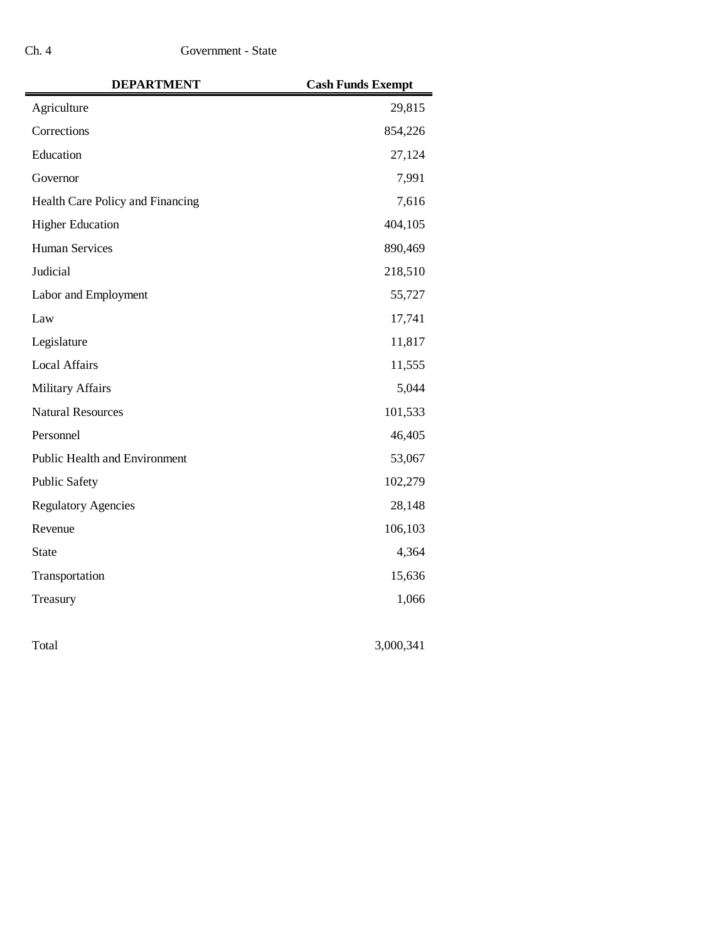| <b>DEPARTMENT</b>                    | <b>Cash Funds Exempt</b> |
|--------------------------------------|--------------------------|
| Agriculture                          | 29,815                   |
| Corrections                          | 854,226                  |
| Education                            | 27,124                   |
| Governor                             | 7,991                    |
| Health Care Policy and Financing     | 7,616                    |
| <b>Higher Education</b>              | 404,105                  |
| <b>Human Services</b>                | 890,469                  |
| Judicial                             | 218,510                  |
| Labor and Employment                 | 55,727                   |
| Law                                  | 17,741                   |
| Legislature                          | 11,817                   |
| <b>Local Affairs</b>                 | 11,555                   |
| <b>Military Affairs</b>              | 5,044                    |
| <b>Natural Resources</b>             | 101,533                  |
| Personnel                            | 46,405                   |
| <b>Public Health and Environment</b> | 53,067                   |
| <b>Public Safety</b>                 | 102,279                  |
| <b>Regulatory Agencies</b>           | 28,148                   |
| Revenue                              | 106,103                  |
| <b>State</b>                         | 4,364                    |
| Transportation                       | 15,636                   |
| Treasury                             | 1,066                    |
| Total                                | 3,000,341                |